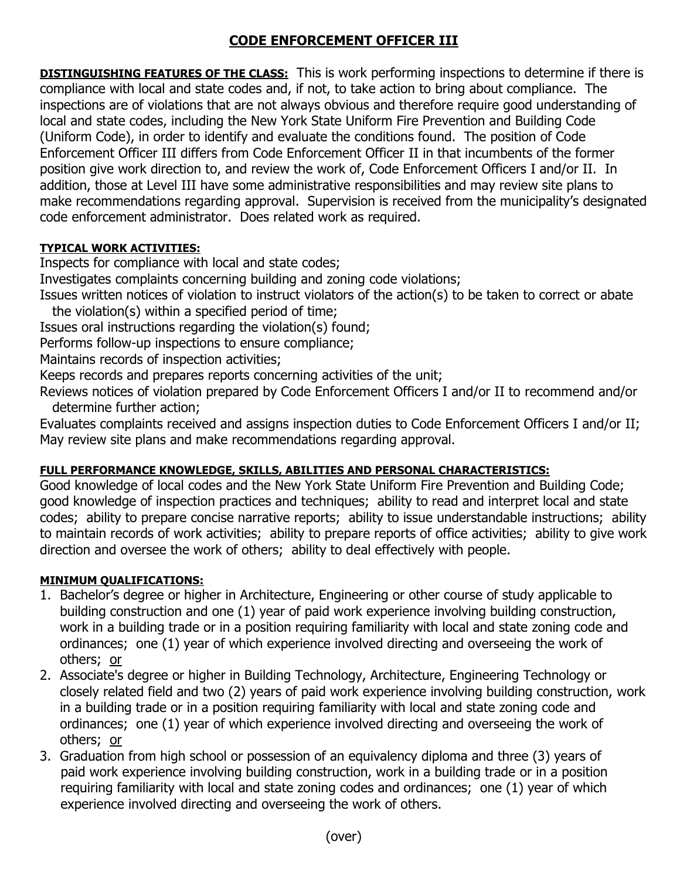# **CODE ENFORCEMENT OFFICER III**

**DISTINGUISHING FEATURES OF THE CLASS:** This is work performing inspections to determine if there is compliance with local and state codes and, if not, to take action to bring about compliance. The inspections are of violations that are not always obvious and therefore require good understanding of local and state codes, including the New York State Uniform Fire Prevention and Building Code (Uniform Code), in order to identify and evaluate the conditions found. The position of Code Enforcement Officer III differs from Code Enforcement Officer II in that incumbents of the former position give work direction to, and review the work of, Code Enforcement Officers I and/or II. In addition, those at Level III have some administrative responsibilities and may review site plans to make recommendations regarding approval. Supervision is received from the municipality's designated code enforcement administrator. Does related work as required.

### **TYPICAL WORK ACTIVITIES:**

Inspects for compliance with local and state codes;

Investigates complaints concerning building and zoning code violations;

Issues written notices of violation to instruct violators of the action(s) to be taken to correct or abate the violation(s) within a specified period of time;

Issues oral instructions regarding the violation(s) found;

Performs follow-up inspections to ensure compliance;

Maintains records of inspection activities;

Keeps records and prepares reports concerning activities of the unit;

Reviews notices of violation prepared by Code Enforcement Officers I and/or II to recommend and/or determine further action;

Evaluates complaints received and assigns inspection duties to Code Enforcement Officers I and/or II; May review site plans and make recommendations regarding approval.

## **FULL PERFORMANCE KNOWLEDGE, SKILLS, ABILITIES AND PERSONAL CHARACTERISTICS:**

Good knowledge of local codes and the New York State Uniform Fire Prevention and Building Code; good knowledge of inspection practices and techniques; ability to read and interpret local and state codes; ability to prepare concise narrative reports; ability to issue understandable instructions; ability to maintain records of work activities; ability to prepare reports of office activities; ability to give work direction and oversee the work of others; ability to deal effectively with people.

#### **MINIMUM QUALIFICATIONS:**

- 1. Bachelor's degree or higher in Architecture, Engineering or other course of study applicable to building construction and one (1) year of paid work experience involving building construction, work in a building trade or in a position requiring familiarity with local and state zoning code and ordinances; one (1) year of which experience involved directing and overseeing the work of others; or
- 2. Associate's degree or higher in Building Technology, Architecture, Engineering Technology or closely related field and two (2) years of paid work experience involving building construction, work in a building trade or in a position requiring familiarity with local and state zoning code and ordinances; one (1) year of which experience involved directing and overseeing the work of others; or
- 3. Graduation from high school or possession of an equivalency diploma and three (3) years of paid work experience involving building construction, work in a building trade or in a position requiring familiarity with local and state zoning codes and ordinances; one (1) year of which experience involved directing and overseeing the work of others.